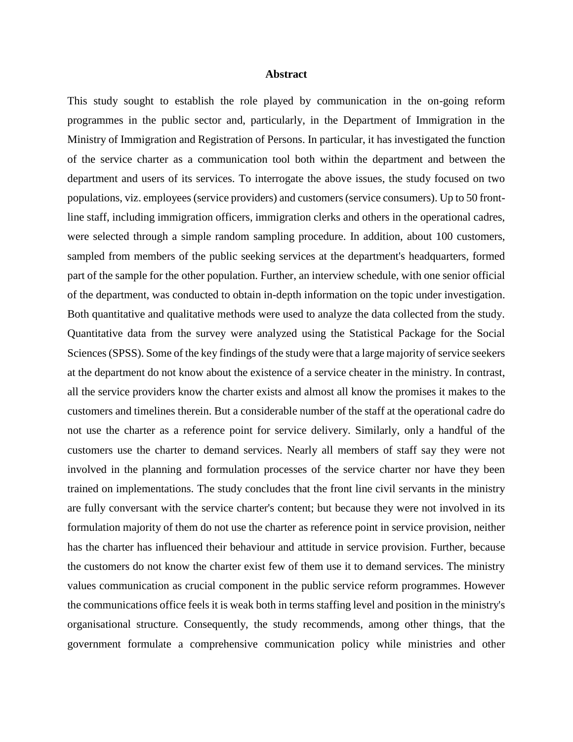## **Abstract**

This study sought to establish the role played by communication in the on-going reform programmes in the public sector and, particularly, in the Department of Immigration in the Ministry of Immigration and Registration of Persons. In particular, it has investigated the function of the service charter as a communication tool both within the department and between the department and users of its services. To interrogate the above issues, the study focused on two populations, viz. employees (service providers) and customers (service consumers). Up to 50 frontline staff, including immigration officers, immigration clerks and others in the operational cadres, were selected through a simple random sampling procedure. In addition, about 100 customers, sampled from members of the public seeking services at the department's headquarters, formed part of the sample for the other population. Further, an interview schedule, with one senior official of the department, was conducted to obtain in-depth information on the topic under investigation. Both quantitative and qualitative methods were used to analyze the data collected from the study. Quantitative data from the survey were analyzed using the Statistical Package for the Social Sciences (SPSS). Some of the key findings of the study were that a large majority of service seekers at the department do not know about the existence of a service cheater in the ministry. In contrast, all the service providers know the charter exists and almost all know the promises it makes to the customers and timelines therein. But a considerable number of the staff at the operational cadre do not use the charter as a reference point for service delivery. Similarly, only a handful of the customers use the charter to demand services. Nearly all members of staff say they were not involved in the planning and formulation processes of the service charter nor have they been trained on implementations. The study concludes that the front line civil servants in the ministry are fully conversant with the service charter's content; but because they were not involved in its formulation majority of them do not use the charter as reference point in service provision, neither has the charter has influenced their behaviour and attitude in service provision. Further, because the customers do not know the charter exist few of them use it to demand services. The ministry values communication as crucial component in the public service reform programmes. However the communications office feels it is weak both in terms staffing level and position in the ministry's organisational structure. Consequently, the study recommends, among other things, that the government formulate a comprehensive communication policy while ministries and other